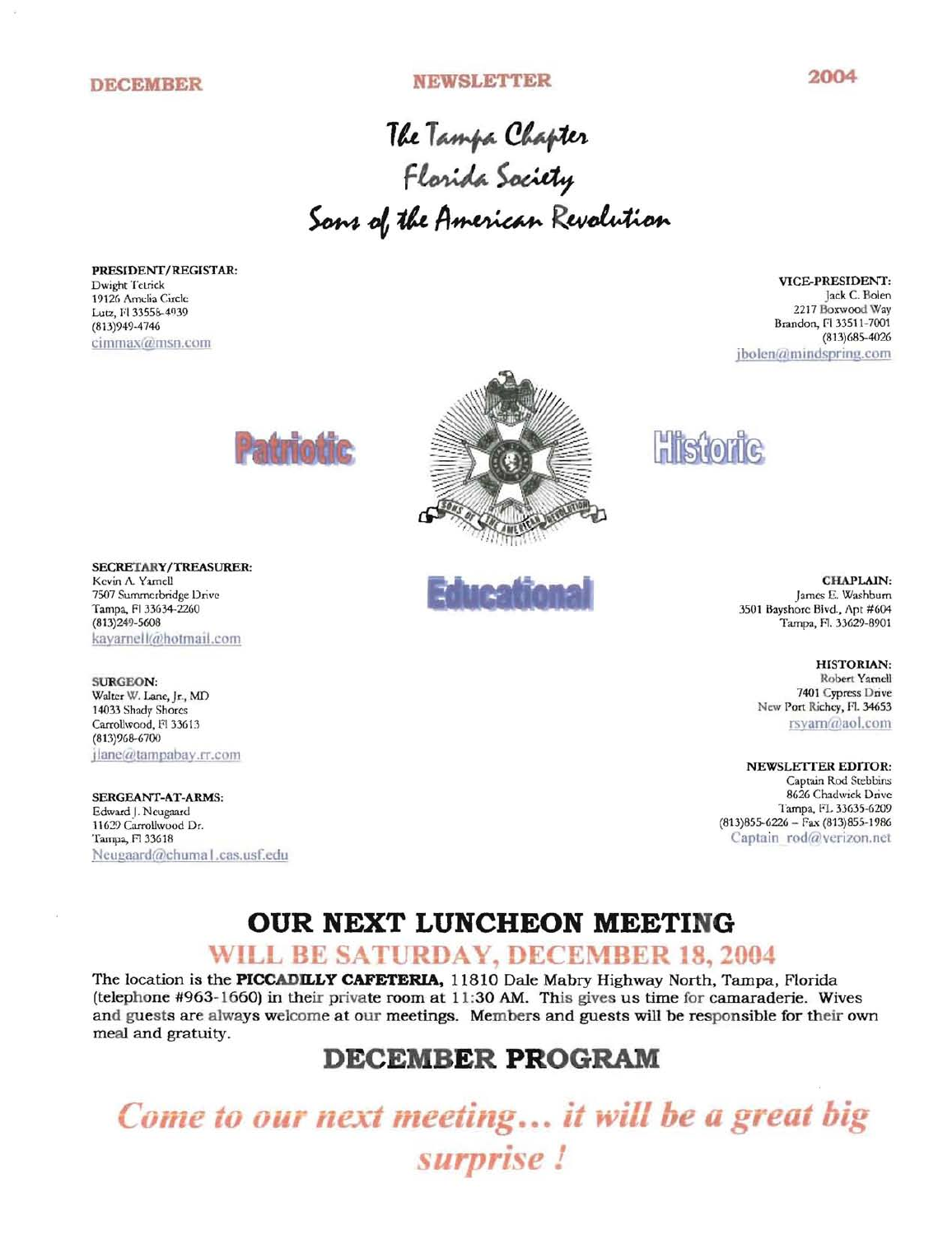## **DECEMBER NEWSLETTER 2004**

The Tampa Chapter Sons ie <sub>Tampa</sub> Caapie<br>Florida Society Feanaa society<br>the American Revolution

PRESIDENT/REGISTAR: Dwight TeLrick 19126 Amelia Circle Lutz, I'l 33558-4039 (813)949-474(; cimmax@msn.com

VICE-PRESIDENT: Jack c. Bolen 2217 Boxwood Way Brandon, Fl 33511-7001 (813)685-4026 jbolen@mindspring.com



SECRETARY/TREASURER: Kevin A. Yamell 7507 Sumrncrbridge Drive Tampa, FI33634-2260 (813)249-5608 kayarnell@hotmail.com

SURGEON: Walter W. Lane, Jr., MD 14033 Shady Shorcs Carrollwood, F133613 (813)96S-6700  $i$ lane( $\tilde{a}$ tampabay.rr.com

SERGEANT-AT-ARMS: Edward | Neugaard 11629 Carrollwood Dr. Tampa, F1 33618 Neugaard@chuma Lcas.usf.edu





**Histor** 

CHAPLAIN: James E. Washburn 3501 Bayshore Blvd., Apt #604 Tampa, F1. 33629-8901

> HISTORIAN: Robert Yarnell 7401 Cypress Drive New Port Richey, Fl. 34653 rsvarn(alaoI.com

NEWSLETTER EDITOR: Captain Rod Stebbins 8626 Chadwick Drive Tampa, FL 33635-6209 (813)855-6226 - Fax (813)855-1986 Captain rod@verizon.net

# **OUR NEXT LUNCHEON MEETING**

## WILL BE SATURDAY, DECEMBER 18, 2004

The location is the **PICCADILLY CAFETERIA,** 11810 Dale Mabry Highway North, Tampa, Florida (telephone #963-1660) in their private room at **11:**30 AM. This gives us time for camaraderie. Wives and guests are always welcome at our meetings. Members and guests will be responsible for their own meal and gratuity.

### **DECEMBER PROGRAM**

• **•••**  reting... i<br>urprise !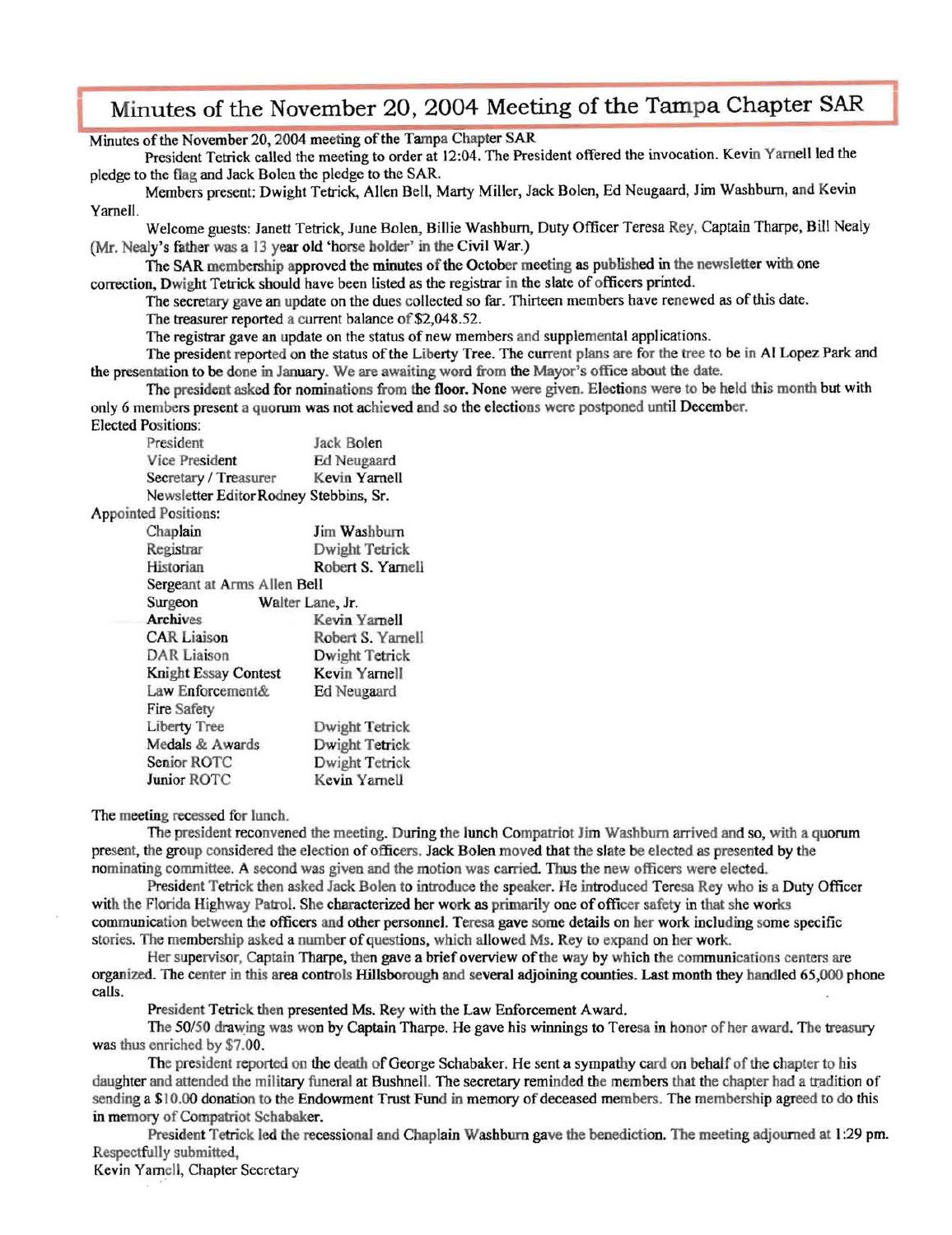# Minutes of the November 20, 2004 Meeting of the Tampa Chapter SAR

Minutes of the November 20, 2004 meeting of the Tampa Chapter SAR

President Tetrick called the meeting to order at 12:04. The President offered the invocation. Kevin Yarnell led the pledge to the flag and Jack Bolen the pledge to the SAR.

Members present: Dwight Tetrick, Allen Bell, Marty Miller, Jack Bolen, Ed Neugaard, Jim Washburn, and Kevin Yarnell.

Welcome guests: Janett Tetrick, June Bolen, Billie Washburn, Duty Officer Teresa Rey, Captain Tharpe, Bill Nealy (Mr. Nealy's father was a l3 year old 'horse bolder' in the Civil War.)

The SAR membership approved the minutes ofthe October meeting as published in the newsletter with one correction, Dwight Tetrick should have been listed as the registrar in the slate ofofficers printed.

The secretary gave an update on the dues collected so far. Thirteen members have renewed as ofthis date.

The treasurer reported a current balance of \$2,048.52.

The registrar gave an update on the status of new members and supplemental applications.

The president reported on the status of the Liberty Tree. The current plans are for the tree to be in Al Lopez Park and the presentation to be done in January. We are awaiting word from the Mayor's office about the date.

The president asked for nominations from the floor. None were given. Elections were to be held this month but with only 6 members present a quorum was not achieved and so the elections were postponed until December.

Elected Positions:

Jack Bolen Vice President Ed Neugaard<br>Secretary / Treasurer Kevin Yarnell Secretary / Treasurer Newsletter Editor Rodney Stebbins, Sr.

Appointed Positions:

| Chaplain                    | Jim Washburn      |  |
|-----------------------------|-------------------|--|
| Registrar                   | Dwight Tetrick    |  |
| Historian                   | Robert S. Yarnell |  |
| Sergeant at Arms Allen Bell |                   |  |
| Surgeon                     | Walter Lane, Jr.  |  |
| <b>Archives</b>             | Kevin Yarnell     |  |
| <b>CAR Liaison</b>          | Robert S. Yarnell |  |
| <b>DAR</b> Liaison          | Dwight Tetrick    |  |
| <b>Knight Essay Contest</b> | Kevin Yarnell     |  |
| Law Enforcement&            | Ed Neugaard       |  |
| Fire Safety                 |                   |  |
| <b>Liberty Tree</b>         | Dwight Tetrick    |  |
| Medals & Awards             | Dwight Tetrick    |  |
| Senior ROTC                 | Dwight Tetrick    |  |
| Junior ROTC                 | Kevin Yarnell     |  |

The meeting recessed for lunch.

The president reconvened the meeting. During the lunch Compatriot Jim Washburn arrived and so, with a quorum present, the group considered the election of officers. Jack Bolen moved that the slate be elected as presented by the nominating committee. A second was given and the motion was carried. Thus the new officers were elected.

President Tetrick then asked Jack Bolen to introduce the speaker. He introduced Teresa Rey who is a Duty Officer with the Florida Highway Patrol. She characterized her work as primarily one of officer safety in that she works communication between the officers and other personnel. Teresa gave some details on her work including some specific stories. The membership asked a number of questions, which allowed Ms. Rey to expand on her work.

Her supervisor, Captain Tharpe, then gave a brief overview of the way by which the communications centers are organized. The center in this area controls Hillsborough and several adjoining counties. Last month they handled 65,000 phone calls.

President Tetrick then presented Ms. Rey with the Law Enforcement Award.

The *50/50* drawing was won by Captain Tharpe. He gave his winnings to Teresa in honor of her award. The treasury was thus enriched by \$7.00.

The president reported on the death of George Schabaker. He sent a sympathy card on behalf of the chapter to his daughter and attended the military funeral at Bushnell. The secretary reminded the members that the chapter had a tradition of sending a \$10.00 donation to the Endowment Trust Fund in memory of deceased members. The membership agreed to do this in memory of Compatriot Schabaker.

President Tetrick led the recessional and Chaplain Washburn gave the benediction. The meeting adjourned at 1:29 pm. Respectfully submitted,

Kevin Yarnell, Chapter Secretary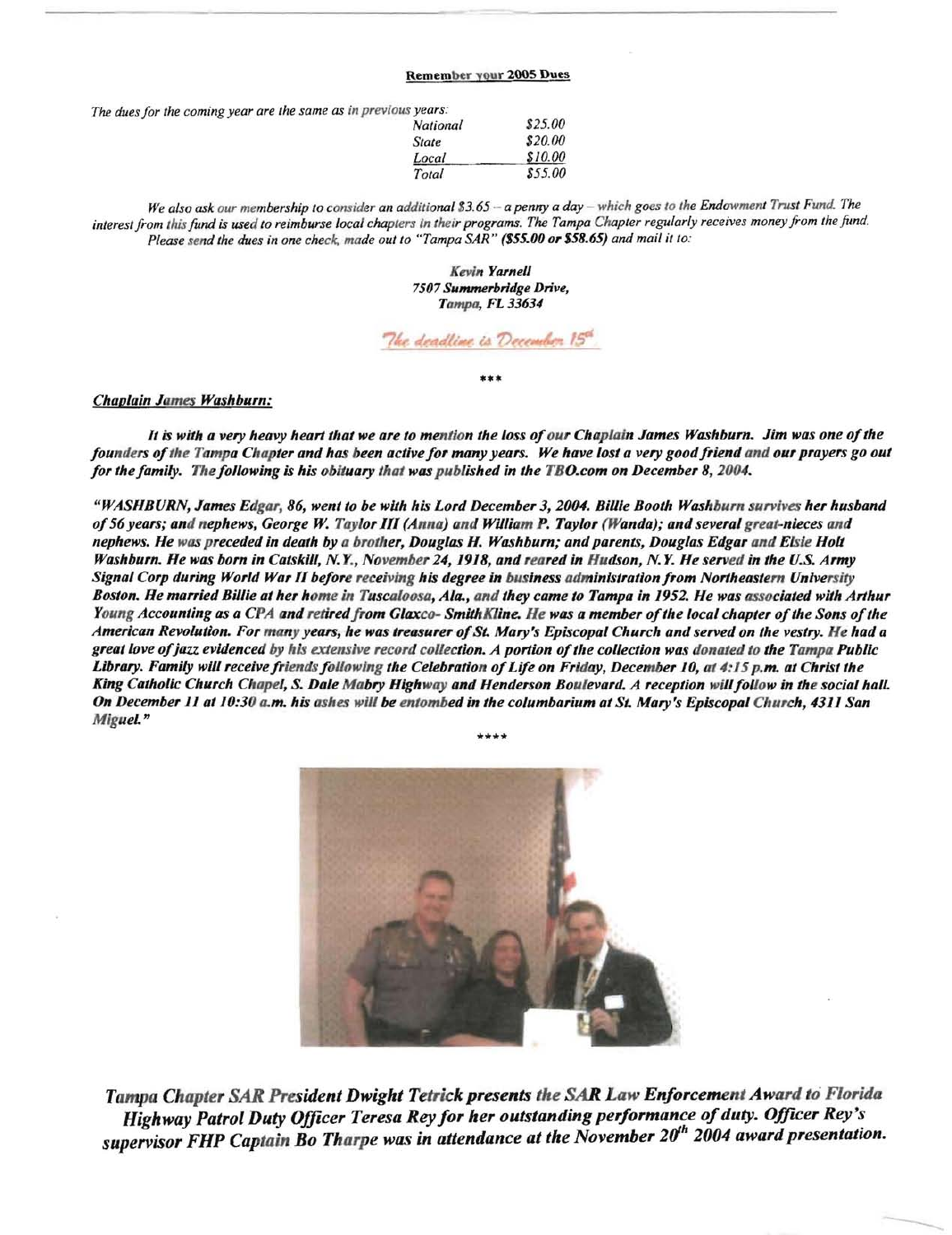#### Remember your 2005 Dues

*The dues for the coming year are the same as in previous years:* 

| \$25.00            |  |  |
|--------------------|--|--|
| \$20.00<br>\$10.00 |  |  |
|                    |  |  |
|                    |  |  |

We also ask our membership to consider an additional \$3.65 - a penny a day - which goes to the Endowment Trust Fund. The *interest from this fund is used to reimburse local chapters in their programs. The Tampa Chapter regularly receives money from the fund. Please send the dues in one check. made out to "Tampa SAn" (\$55.00 or* \$58.65) *and mail it to:* 

> *Kevin Yarnell 7507 Summerbrldge Drive,*  Tampa, *FL* 33634

The deadline is December 15<sup>cs</sup>

\*\*\*

#### *Chaplain James Washburn:*

*It is with a very heavy heart that we are to mention the loss of our Chaplain James Washburn. Jim was one of the founders of the Tampa Chapter and has been active for many years. We have lost a very good friend and our prayers go out for the family. The following is his obituary that was published in the TBO.com on December 8, 2004.* 

*"WASHBURN, James Edgar,* 86, *went to be wi1h his Lord December 3,2004. Billie Booth Washburn survives her husband 0/56 years; and nephews, George* Jv. *Taylor* 111 *(Anna) and William P. Taylor (Wanda); and several great-nieces and nephews. He was preceded in death by a brother, Douglas H. Washburn; and parents, Douglas Edgar and Elsie Holt Washburn. He was born in Catskill,* N. *Y., November* 24, 1918, *and reared in Hudson,* N. Y. *He served in the U.S. Army Signal Corp during World War* 11 *be/ore receiving his degree in business administration/rom Northeastern University*  Boston. He married Billie at her home in Tuscaloosa, Ala., and they came to Tampa in 1952. He was associated with Arthur *Young Accounting as a CPA and retired from Glaxco- Smith Kline. He was a member of the local chapter of the Sons of the American Revolution. For many years, he was treasurer 0/St. Mary's Episcopal Church and served on the vestry. He had a*  great love of jazz evidenced by his extensive record collection. A portion of the collection was donated to the Tampa Public Library. Family will receive friends following the Celebration of Life on Friday, December 10, at 4:15 *p.m. at Christ the* King Catholic Church Chapel, S. Dale Mabry Highway and Henderson Boulevard. A reception will follow in the social hall. *On December 11 at 10:30 a.m. his ashes will be entombed in the columbarium at St. Mary's Episcopal Church, 4311 San MigueL"* 

\*\*\*\*



*Tampa Chapter SAR President Dwight Tetrick presents the SAR Law Enforcement Award* 10 *Florida Highway Patrol Duty Officer Teresa Rey for her outstanding performance of duty. Officer Rey's supervisor FHP Captain Bo Tharpe was in attendance at the November 20<sup>th</sup> 2004 award presentation.*